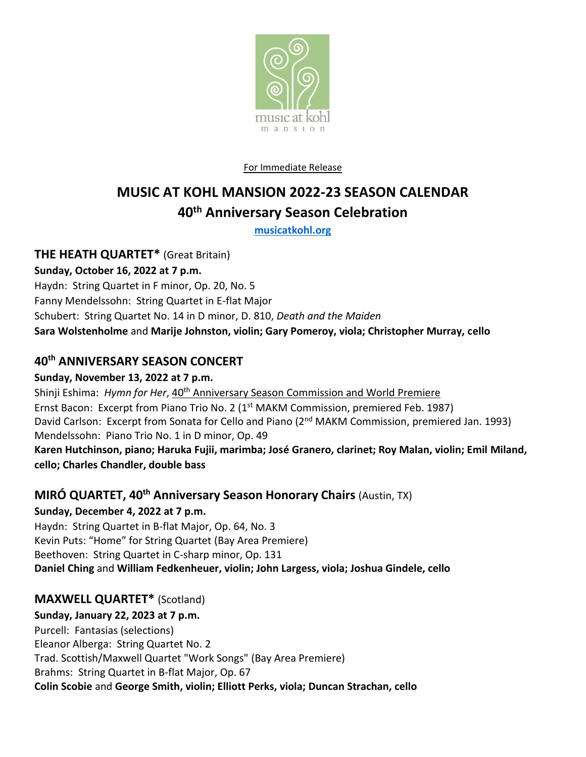

### For Immediate Release

# **MUSIC AT KOHL MANSION 2022-23 SEASON CALENDAR 40th Anniversary Season Celebration**

**[musicatkohl.org](http://www.musicatkohl.org/)**

**THE HEATH QUARTET\*** (Great Britain)

**Sunday, October 16, 2022 at 7 p.m.**

Haydn: String Quartet in F minor, Op. 20, No. 5 Fanny Mendelssohn: String Quartet in E-flat Major Schubert: String Quartet No. 14 in D minor, D. 810, *Death and the Maiden* **Sara Wolstenholme** and **Marije Johnston, violin; Gary Pomeroy, viola; Christopher Murray, cello**

# **40th ANNIVERSARY SEASON CONCERT**

### **Sunday, November 13, 2022 at 7 p.m.**

Shinji Eshima: *Hymn for Her*, 40<sup>th</sup> Anniversary Season Commission and World Premiere Ernst Bacon: Excerpt from Piano Trio No. 2 (1<sup>st</sup> MAKM Commission, premiered Feb. 1987) David Carlson: Excerpt from Sonata for Cello and Piano (2<sup>nd</sup> MAKM Commission, premiered Jan. 1993) Mendelssohn: Piano Trio No. 1 in D minor, Op. 49 **Karen Hutchinson, piano; Haruka Fujii, marimba; José Granero, clarinet; Roy Malan, violin; Emil Miland, cello; Charles Chandler, double bass**

# **MIRÓ QUARTET, 40th Anniversary Season Honorary Chairs** (Austin, TX)

# **Sunday, December 4, 2022 at 7 p.m.**

Haydn: String Quartet in B-flat Major, Op. 64, No. 3 Kevin Puts: "Home" for String Quartet (Bay Area Premiere) Beethoven: String Quartet in C-sharp minor, Op. 131 **Daniel Ching** and **William Fedkenheuer, violin; John Largess, viola; Joshua Gindele, cello**

# **MAXWELL QUARTET\*** (Scotland)

# **Sunday, January 22, 2023 at 7 p.m.**

Purcell: Fantasias (selections)

Eleanor Alberga: String Quartet No. 2

Trad. Scottish/Maxwell Quartet "Work Songs" (Bay Area Premiere)

Brahms: String Quartet in B-flat Major, Op. 67

**Colin Scobie** and **George Smith, violin; Elliott Perks, viola; Duncan Strachan, cello**